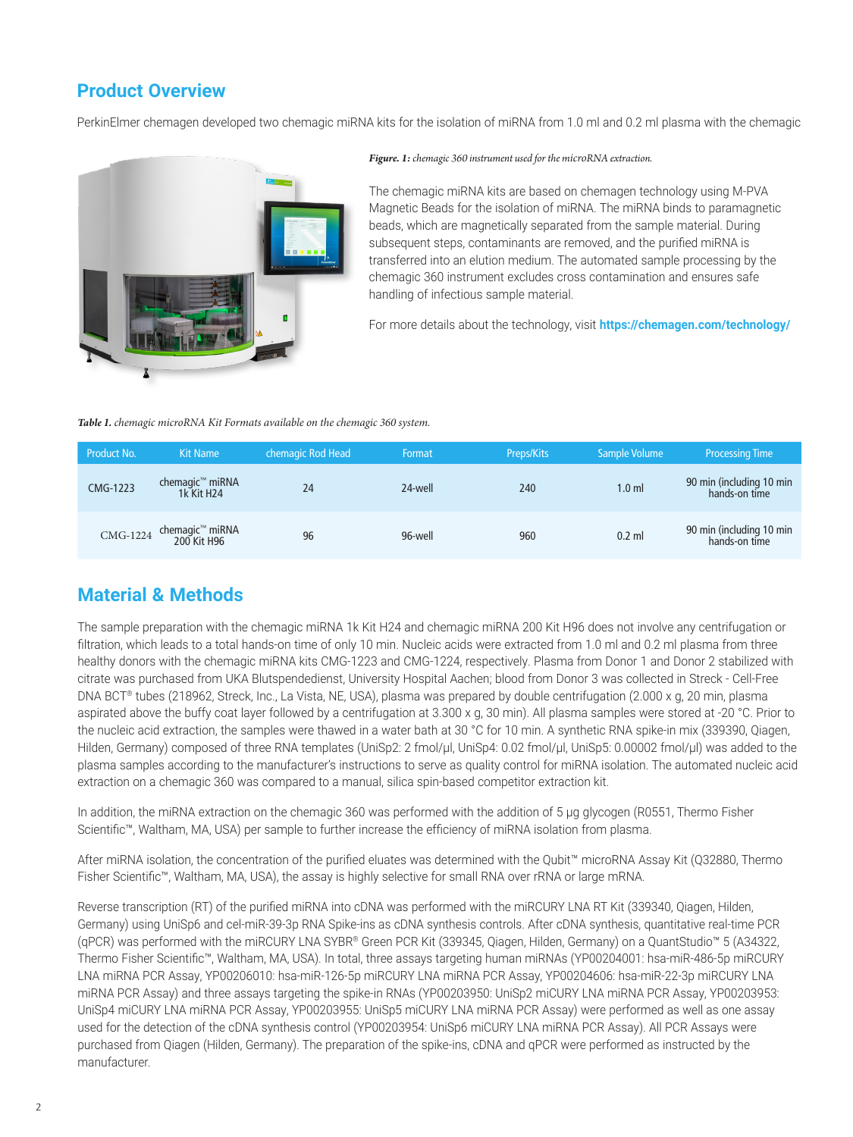# **Product Overview**

PerkinElmer chemagen developed two chemagic miRNA kits for the isolation of miRNA from 1.0 ml and 0.2 ml plasma with the chemagic



#### *Figure. 1:chemagic 360 instrument used for the microRNA extraction.*

The chemagic miRNA kits are based on chemagen technology using M-PVA Magnetic Beads for the isolation of miRNA. The miRNA binds to paramagnetic beads, which are magnetically separated from the sample material. During subsequent steps, contaminants are removed, and the purified miRNA is transferred into an elution medium. The automated sample processing by the chemagic 360 instrument excludes cross contamination and ensures safe handling of infectious sample material.

For more details about the technology, visit **https://chemagen.com/technology/**

#### *Table 1. chemagic microRNA Kit Formats available on the chemagic 360 system.*

| <b>Product No.</b> | <b>Kit Name</b>                                       | chemagic Rod Head | Format  | Preps/Kits | Sample Volume    | <b>Processing Time</b>                    |
|--------------------|-------------------------------------------------------|-------------------|---------|------------|------------------|-------------------------------------------|
| CMG-1223           | chemagic <sup>™</sup> miRNA<br>1k Kit H <sub>24</sub> | 24                | 24-well | 240        | 1.0 <sub>m</sub> | 90 min (including 10 min<br>hands-on time |
|                    | chemagic™ miRNA<br>200 Kit H96                        | 96                | 96-well | 960        | $0.2$ ml         | 90 min (including 10 min<br>hands-on time |

## **Material & Methods**

The sample preparation with the chemagic miRNA 1k Kit H24 and chemagic miRNA 200 Kit H96 does not involve any centrifugation or filtration, which leads to a total hands-on time of only 10 min. Nucleic acids were extracted from 1.0 ml and 0.2 ml plasma from three healthy donors with the chemagic miRNA kits CMG-1223 and CMG-1224, respectively. Plasma from Donor 1 and Donor 2 stabilized with citrate was purchased from UKA Blutspendedienst, University Hospital Aachen; blood from Donor 3 was collected in Streck - Cell-Free DNA BCT® tubes (218962, Streck, Inc., La Vista, NE, USA), plasma was prepared by double centrifugation (2,000 x g, 20 min, plasma aspirated above the buffy coat layer followed by a centrifugation at 3,300 x g, 30 min). All plasma samples were stored at -20 °C. Prior to the nucleic acid extraction, the samples were thawed in a water bath at 30 °C for 10 min. A synthetic RNA spike-in mix (339390, Qiagen, Hilden, Germany) composed of three RNA templates (UniSp2: 2 fmol/µl, UniSp4: 0.02 fmol/µl, UniSp5: 0.00002 fmol/µl) was added to the plasma samples according to the manufacturer's instructions to serve as quality control for miRNA isolation. The automated nucleic acid extraction on a chemagic 360 was compared to a manual, silica spin-based competitor extraction kit.

In addition, the miRNA extraction on the chemagic 360 was performed with the addition of 5 µg glycogen (R0551, Thermo Fisher Scientific™, Waltham, MA, USA) per sample to further increase the efficiency of miRNA isolation from plasma.

After miRNA isolation, the concentration of the purified eluates was determined with the Qubit™ microRNA Assay Kit (Q32880, Thermo Fisher Scientific™, Waltham, MA, USA), the assay is highly selective for small RNA over rRNA or large mRNA.

Reverse transcription (RT) of the purified miRNA into cDNA was performed with the miRCURY LNA RT Kit (339340, Qiagen, Hilden, Germany) using UniSp6 and cel-miR-39-3p RNA Spike-ins as cDNA synthesis controls. After cDNA synthesis, quantitative real-time PCR (qPCR) was performed with the miRCURY LNA SYBR® Green PCR Kit (339345, Qiagen, Hilden, Germany) on a QuantStudio™ 5 (A34322, Thermo Fisher Scientific™, Waltham, MA, USA). In total, three assays targeting human miRNAs (YP00204001: hsa-miR-486-5p miRCURY LNA miRNA PCR Assay, YP00206010: hsa-miR-126-5p miRCURY LNA miRNA PCR Assay, YP00204606: hsa-miR-22-3p miRCURY LNA miRNA PCR Assay) and three assays targeting the spike-in RNAs (YP00203950: UniSp2 miCURY LNA miRNA PCR Assay, YP00203953: UniSp4 miCURY LNA miRNA PCR Assay, YP00203955: UniSp5 miCURY LNA miRNA PCR Assay) were performed as well as one assay used for the detection of the cDNA synthesis control (YP00203954: UniSp6 miCURY LNA miRNA PCR Assay). All PCR Assays were purchased from Qiagen (Hilden, Germany). The preparation of the spike-ins, cDNA and qPCR were performed as instructed by the manufacturer.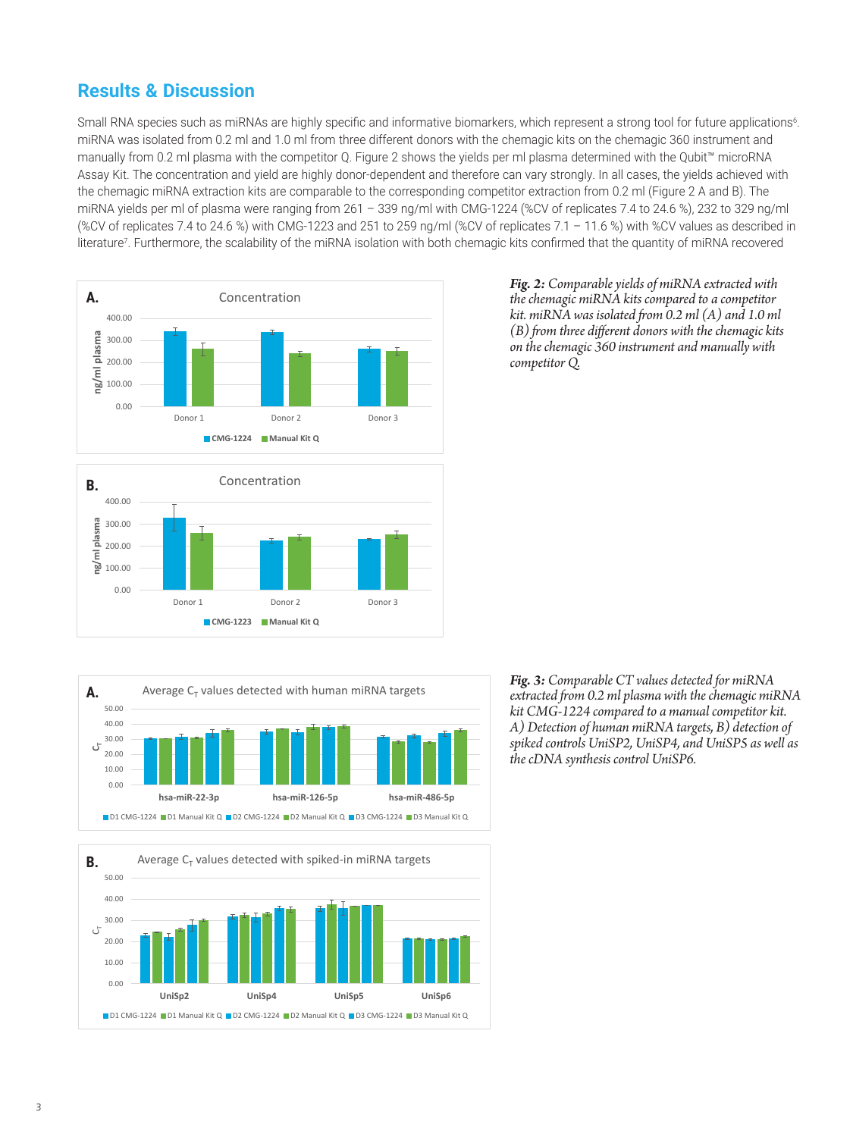### **Results & Discussion**

Small RNA species such as miRNAs are highly specific and informative biomarkers, which represent a strong tool for future applications<sup>6</sup>. miRNA was isolated from 0.2 ml and 1.0 ml from three different donors with the chemagic kits on the chemagic 360 instrument and manually from 0.2 ml plasma with the competitor Q. Figure 2 shows the yields per ml plasma determined with the Qubit™ microRNA Assay Kit. The concentration and yield are highly donor-dependent and therefore can vary strongly. In all cases, the yields achieved with the chemagic miRNA extraction kits are comparable to the corresponding competitor extraction from 0.2 ml (Figure 2 A and B). The miRNA yields per ml of plasma were ranging from 261 – 339 ng/ml with CMG-1224 (%CV of replicates 7.4 to 24.6 %), 232 to 329 ng/ml (%CV of replicates 7.4 to 24.6 %) with CMG-1223 and 251 to 259 ng/ml (%CV of replicates 7.1 – 11.6 %) with %CV values as described in literature<sup>7</sup>. Furthermore, the scalability of the miRNA isolation with both chemagic kits confirmed that the quantity of miRNA recovered









*Fig. 2: Comparable yields of miRNA extracted with the chemagic miRNA kits compared to a competitor kit. miRNA was isolated from 0.2 ml (A) and 1.0 ml (B) from three different donors with the chemagic kits on the chemagic 360 instrument and manually with competitor Q.*

*Fig. 3: Comparable CT values detected for miRNA extracted from 0.2 ml plasma with the chemagic miRNA kit CMG-1224 compared to a manual competitor kit. A) Detection of human miRNA targets, B) detection of spiked controls UniSP2, UniSP4, and UniSP5 as well as the cDNA synthesis control UniSP6.*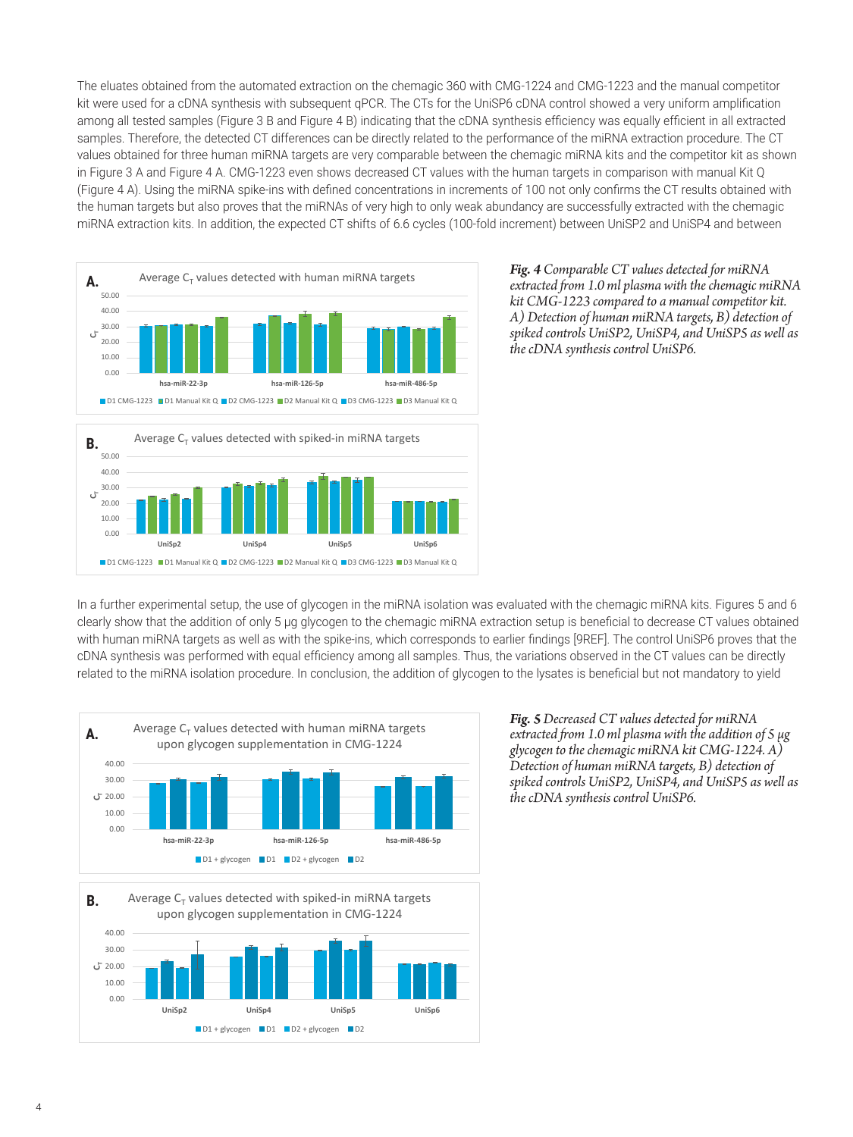The eluates obtained from the automated extraction on the chemagic 360 with CMG-1224 and CMG-1223 and the manual competitor kit were used for a cDNA synthesis with subsequent qPCR. The CTs for the UniSP6 cDNA control showed a very uniform amplification among all tested samples (Figure 3 B and Figure 4 B) indicating that the cDNA synthesis efficiency was equally efficient in all extracted samples. Therefore, the detected CT differences can be directly related to the performance of the miRNA extraction procedure. The CT values obtained for three human miRNA targets are very comparable between the chemagic miRNA kits and the competitor kit as shown in Figure 3 A and Figure 4 A. CMG-1223 even shows decreased CT values with the human targets in comparison with manual Kit Q (Figure 4 A). Using the miRNA spike-ins with defined concentrations in increments of 100 not only confirms the CT results obtained with the human targets but also proves that the miRNAs of very high to only weak abundancy are successfully extracted with the chemagic miRNA extraction kits. In addition, the expected CT shifts of 6.6 cycles (100-fold increment) between UniSP2 and UniSP4 and between A



*Fig. 4 Comparable CT values detected for miRNA extracted from 1.0 ml plasma with the chemagic miRNA kit CMG-1223 compared to a manual competitor kit. A) Detection of human miRNA targets, B) detection of spiked controls UniSP2, UniSP4, and UniSP5 as well as the cDNA synthesis control UniSP6.*

In a further experimental setup, the use of glycogen in the miRNA isolation was evaluated with the chemagic miRNA kits. Figures 5 and 6 clearly show that the addition of only 5 µg glycogen to the chemagic miRNA extraction setup is beneficial to decrease CT values obtained with human miRNA targets as well as with the spike-ins, which corresponds to earlier findings [9REF]. The control UniSP6 proves that the cDNA synthesis was performed with equal efficiency among all samples. Thus, the variations observed in the CT values can be directly related to the miRNA isolation procedure. In conclusion, the addition of glycogen to the lysates is beneficial but not mandatory to yield A



*Fig. 5 Decreased CT values detected for miRNA extracted from 1.0 ml plasma with the addition of 5 µg glycogen to the chemagic miRNA kit CMG-1224. A) Detection of human miRNA targets, B) detection of spiked controls UniSP2, UniSP4, and UniSP5 as well as the cDNA synthesis control UniSP6.*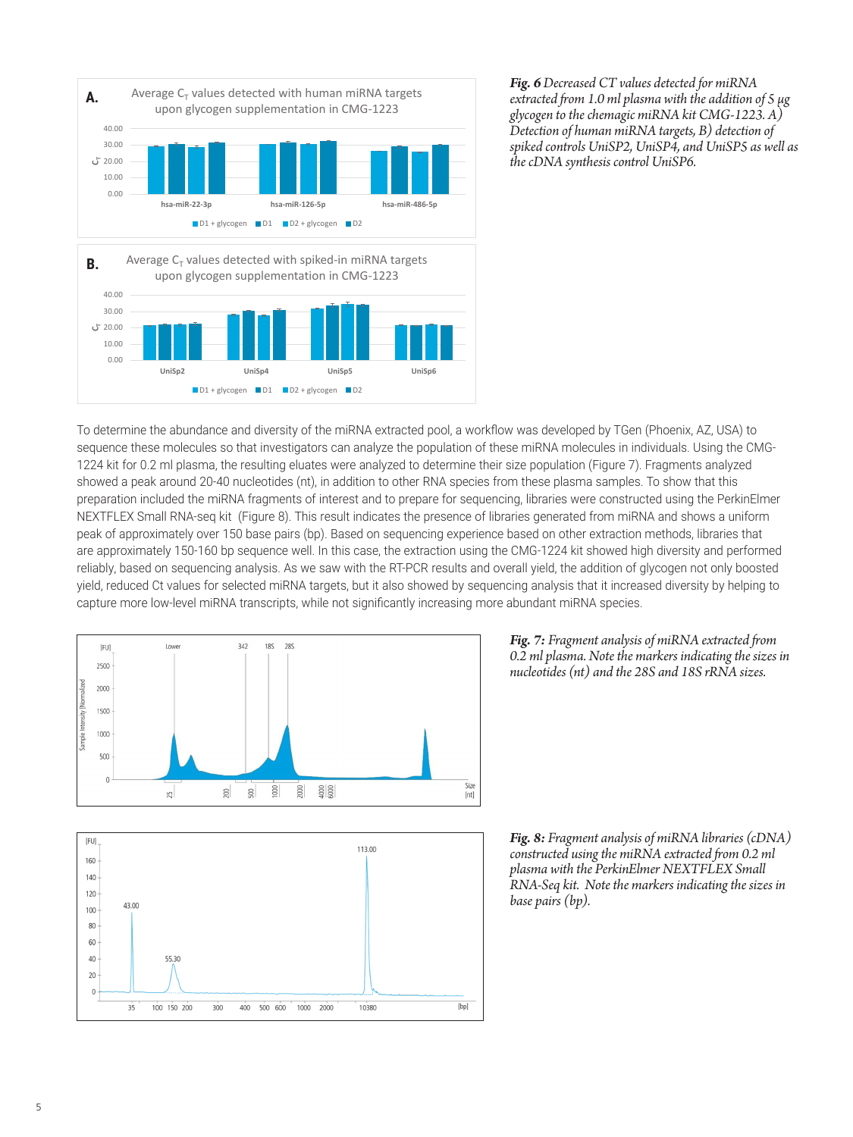

*Fig. 6 Decreased CT values detected for miRNA extracted from 1.0 ml plasma with the addition of 5 µg glycogen to the chemagic miRNA kit CMG-1223. A) Detection of human miRNA targets, B) detection of spiked controls UniSP2, UniSP4, and UniSP5 as well as the cDNA synthesis control UniSP6.*

To determine the abundance and diversity of the miRNA extracted pool, a workflow was developed by TGen (Phoenix, AZ, USA) to sequence these molecules so that investigators can analyze the population of these miRNA molecules in individuals. Using the CMG-1224 kit for 0.2 ml plasma, the resulting eluates were analyzed to determine their size population (Figure 7). Fragments analyzed showed a peak around 20-40 nucleotides (nt), in addition to other RNA species from these plasma samples. To show that this preparation included the miRNA fragments of interest and to prepare for sequencing, libraries were constructed using the PerkinElmer NEXTFLEX Small RNA-seq kit (Figure 8). This result indicates the presence of libraries generated from miRNA and shows a uniform peak of approximately over 150 base pairs (bp). Based on sequencing experience based on other extraction methods, libraries that are approximately 150-160 bp sequence well. In this case, the extraction using the CMG-1224 kit showed high diversity and performed reliably, based on sequencing analysis. As we saw with the RT-PCR results and overall yield, the addition of glycogen not only boosted yield, reduced Ct values for selected miRNA targets, but it also showed by sequencing analysis that it increased diversity by helping to capture more low-level miRNA transcripts, while not significantly increasing more abundant miRNA species.





*Fig. 7: Fragment analysis of miRNA extracted from 0.2 ml plasma. Note the markers indicating the sizes in nucleotides (nt) and the 28S and 18S rRNA sizes.*

*Fig. 8: Fragment analysis of miRNA libraries (cDNA) constructed using the miRNA extracted from 0.2 ml plasma with the PerkinElmer NEXTFLEX Small RNA-Seq kit. Note the markers indicating the sizes in base pairs (bp).*